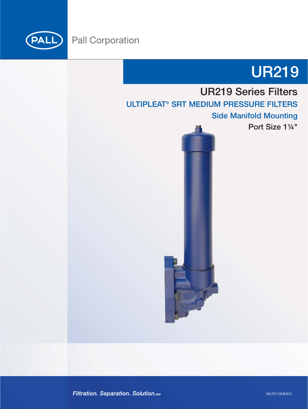

(PALL)



# UR219 Series Filters

ULTIPLEAT<sup>®</sup> SRT MEDIUM PRESSURE FILTERS

Side Manifold Mounting

Port Size 1¼"

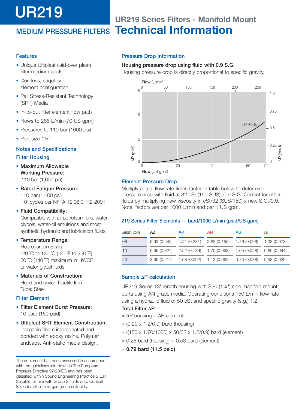# UR219

# MEDIUM PRESSURE FILTERS **Technical Information UR219 Series Filters - Manifold Mount**

### Features

- Unique Ultipleat (laid-over pleat) filter medium pack
- Coreless, cageless element configuration
- Pall Stress-Resistant Technology (SRT) Media
- In-to-out filter element flow path
- Flows to 265 L/min (70 US gpm)
- Pressures to 110 bar (1600 psi)
- Port size 1¼"

## Notes and Specifications

#### Filter Housing

- Maximum Allowable Working Pressure: 110 bar (1,600 psi)
- Rated Fatigue Pressure: 110 bar (1,600 psi) 106 cycles per NFPA T2.06.01R2-2001

#### • Fluid Compatibility:

Compatible with all petroleum oils, water glycols, water-oil emulsions and most synthetic hydraulic and lubrication fluids

• Temperature Range:

Fluorocarbon Seals: -29 ˚C to 120 ˚C (-20 ˚F to 250 ˚F) 60 ˚C (140 ˚F) maximum in HWCF or water glycol fluids

• Materials of Construction: Head and cover: Ductile Iron Tube: Steel

#### Filter Element

- Filter Element Burst Pressure: 10 bard (150 psid)
- Ultipleat SRT Element Construction: Inorganic fibers impregnated and bonded with epoxy resins. Polymer endcaps. Anti-static media design.

The equipment has been assessed in accordance with the guidelines laid down in The European Pressure Directive 97/23/EC and has been classified within Sound Engineering Practice S.E.P. Suitable for use with Group 2 fluids only. Consult Sales for other fluid gas group suitability.

#### Pressure Drop Information

#### Housing pressure drop using fluid with 0.9 S.G.

Housing pressure drop is directly proportional to specific gravity.



#### Element Pressure Drop

Multiply actual flow rate times factor in table below to determine pressure drop with fluid at 32 cSt (150 SUS), 0.9 S.G. Correct for other fluids by multiplying new viscosity in cSt/32 (SUS/150) x new S.G./0.9. Note: factors are per 1000 L/min and per 1 US gpm.

#### 219 Series Filter Elements — bard/1000 L/min (psid/US gpm)

| Length Code | AZ | AP | AN | <b>AS</b>                                                                 | AT |
|-------------|----|----|----|---------------------------------------------------------------------------|----|
| 08          |    |    |    | 9.93 (0.545) 4.21 (0.231) 2.83 (0.155) 1.76 (0.096) 1.33 (0.073)          |    |
| 13          |    |    |    | 5.95 (0.327) 2.52 (0.139) 1.70 (0.093) 1.05 (0.058) 0.80 (0.044)          |    |
| 20          |    |    |    | $3.95(0.217)$ 1.68 $(0.092)$ 1.13 $(0.062)$ 0.70 $(0.038)$ 0.53 $(0.029)$ |    |

#### Sample **Δ**P calculation

UR219 Series 13" length housing with S20 (1¼") side manifold mount ports using AN grade media. Operating conditions 150 L/min flow rate using a hydraulic fluid of 50 cSt and specific gravity (s.g.) 1.2.

#### Total Filter **Δ**P

- $= ΔP$  housing +  $ΔP$  element
- $= (0.20 \times 1.2/0.9)$  bard (housing)
- + ((150 x 1.70/1000) x 50/32 x 1.2/0.9) bard (element)
- $= 0.26$  bard (housing)  $+ 0.53$  bard (element)
- = 0.79 bard (11.5 psid)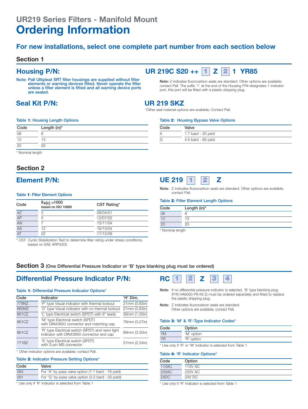#### **For new installations, select one complete part number from each section below**

#### **Section 1**

Note: Pall Ultipleat SRT filter housings are supplied without filter elements or warning devices fitted. Never operate the filter unless a filter element is fitted and all warning device ports are sealed.

### **Seal Kit P/N: UR 219 SKZ**

#### **Housing P/N:** UR 219C S20 ++ 1 Z 2 1 YR85 **1 2**

Table **2**: Housing Bypass Valve Options

Note: Z indicates fluorocarbon seals are standard. Other options are available; contact Pall. The suffix '1' at the end of the Housing P/N designates 1 indicator port, this port will be fitted with a plastic shipping plug.

\*Other seal material options are available; Contact Pall.

 $\overline{A}$  1.7 bard - 25 psid  $\overline{G}$  4.5 bard - 65 psid

Code Valve

#### Table **1**: Housing Length Options

| Code | Length (in)* |  |
|------|--------------|--|
| 08   |              |  |
| 13   | 13           |  |
| 20   | 20           |  |

\* Nominal length

#### **Section 2**

#### Table **1**: Filter Element Options

| Code            | $\beta$ <sub>X</sub> (c) $\geq$ 1000<br>based on ISO 16889 | CST Rating* |
|-----------------|------------------------------------------------------------|-------------|
| AZ              | 3                                                          | 08/04/01    |
| AP              | 5                                                          | 12/07/02    |
| AN              |                                                            | 15/11/04    |
| $\overline{AS}$ | 12                                                         | 16/13/04    |
| $\overline{AT}$ | 22                                                         | 17/15/08    |

\* CST: Cyclic Stabilization Test to determine filter rating under stress conditions, based on SAE ARP4205



Note: Z indicates fluorocarbon seals are standard. Other options are available; contact Pall.

#### Table **2**: Filter Element Length Options

| Code          | Length (in)* |
|---------------|--------------|
| 08            |              |
| $\frac{1}{2}$ | 13           |
|               | 20           |

\* Nominal length

#### **Section 3** (One Differential Pressure Indicator or 'B' type blanking plug must be ordered)

### **Differential Pressure Indicator P/N:** RC 1 2 Z

#### Table **1**: Differential Pressure Indicator Options\*

| Code  | Indicator                                                                                     | 'H' Dim.      |
|-------|-----------------------------------------------------------------------------------------------|---------------|
| 778NZ | 'P' type Visual indicator with thermal lockout                                                | 21mm (0.83in) |
| 860MZ | 'D' type Visual indicator with no thermal lockout                                             | 21mm (0.83in) |
| 861CZ | 'L' type Electrical switch (SPDT) with 6" leads                                               | 38mm (1.50in) |
| 861CZ | 'M' type Electrical switch (SPDT)<br>with DIN43650 connector and matching cap                 | 78mm (3.07in) |
| 861CZ | 'R' type Electrical switch (SPDT) and neon light<br>indicator with DIN43650 connector and cap | 89mm (3.50in) |
| 771BZ | 'S' type Electrical switch (SPDT)<br>with 3-pin MS connector                                  | 57mm (2.24in) |

\* Other indicator options are available; contact Pall.

#### Table **2**: Indicator Pressure Setting Options\*

| Code | Valve                                             |
|------|---------------------------------------------------|
| 084  | For 'A' by-pass valve option (1.1 bard - 16 psid) |
| 091  | For 'G' by-pass valve option (3.5 bard - 50 psid) |

\* Use only if 'R' Indicator is selected from Table 1



- Note: If no differential pressure indicator is selected, 'B' type blanking plug (P/N HA9000-P8-Kit Z) must be ordered separately and fitted to replace the plastic shipping plug.
- Note: Z indicates fluorocarbon seals are standard. Other options are available; contact Pall.

#### Table **3**: 'M' & 'R'-Type Indicator Codes\*

| Code      | Option     |
|-----------|------------|
| <b>YM</b> | 'M' option |
| <b>YR</b> | 'R' option |

\* Use only if 'R' or 'M' Indicator is selected from Table 1

#### Table **4**: 'R' Indicator Options\*

| Code  | Option         |
|-------|----------------|
| 110AC | 110V AC        |
| 220AC | <b>220V AC</b> |
| 24DC  | 24V DC         |

\* Use only if 'R' Indicator is selected from Table 1